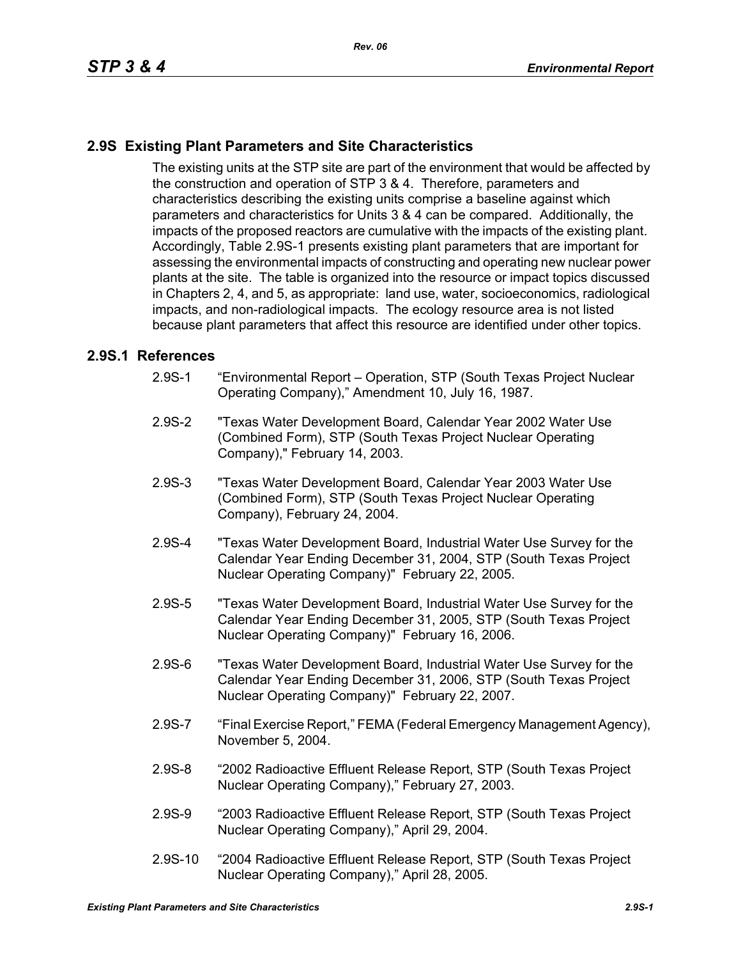## **2.9S Existing Plant Parameters and Site Characteristics**

The existing units at the STP site are part of the environment that would be affected by the construction and operation of STP 3 & 4. Therefore, parameters and characteristics describing the existing units comprise a baseline against which parameters and characteristics for Units 3 & 4 can be compared. Additionally, the impacts of the proposed reactors are cumulative with the impacts of the existing plant. Accordingly, Table 2.9S-1 presents existing plant parameters that are important for assessing the environmental impacts of constructing and operating new nuclear power plants at the site. The table is organized into the resource or impact topics discussed in Chapters 2, 4, and 5, as appropriate: land use, water, socioeconomics, radiological impacts, and non-radiological impacts. The ecology resource area is not listed because plant parameters that affect this resource are identified under other topics.

## **2.9S.1 References**

- 2.9S-1 "Environmental Report Operation, STP (South Texas Project Nuclear Operating Company)," Amendment 10, July 16, 1987.
- 2.9S-2 "Texas Water Development Board, Calendar Year 2002 Water Use (Combined Form), STP (South Texas Project Nuclear Operating Company)," February 14, 2003.
- 2.9S-3 "Texas Water Development Board, Calendar Year 2003 Water Use (Combined Form), STP (South Texas Project Nuclear Operating Company), February 24, 2004.
- 2.9S-4 "Texas Water Development Board, Industrial Water Use Survey for the Calendar Year Ending December 31, 2004, STP (South Texas Project Nuclear Operating Company)" February 22, 2005.
- 2.9S-5 "Texas Water Development Board, Industrial Water Use Survey for the Calendar Year Ending December 31, 2005, STP (South Texas Project Nuclear Operating Company)" February 16, 2006.
- 2.9S-6 "Texas Water Development Board, Industrial Water Use Survey for the Calendar Year Ending December 31, 2006, STP (South Texas Project Nuclear Operating Company)" February 22, 2007.
- 2.9S-7 "Final Exercise Report," FEMA (Federal Emergency Management Agency), November 5, 2004.
- 2.9S-8 "2002 Radioactive Effluent Release Report, STP (South Texas Project Nuclear Operating Company)," February 27, 2003.
- 2.9S-9 "2003 Radioactive Effluent Release Report, STP (South Texas Project Nuclear Operating Company)," April 29, 2004.
- 2.9S-10 "2004 Radioactive Effluent Release Report, STP (South Texas Project Nuclear Operating Company)," April 28, 2005.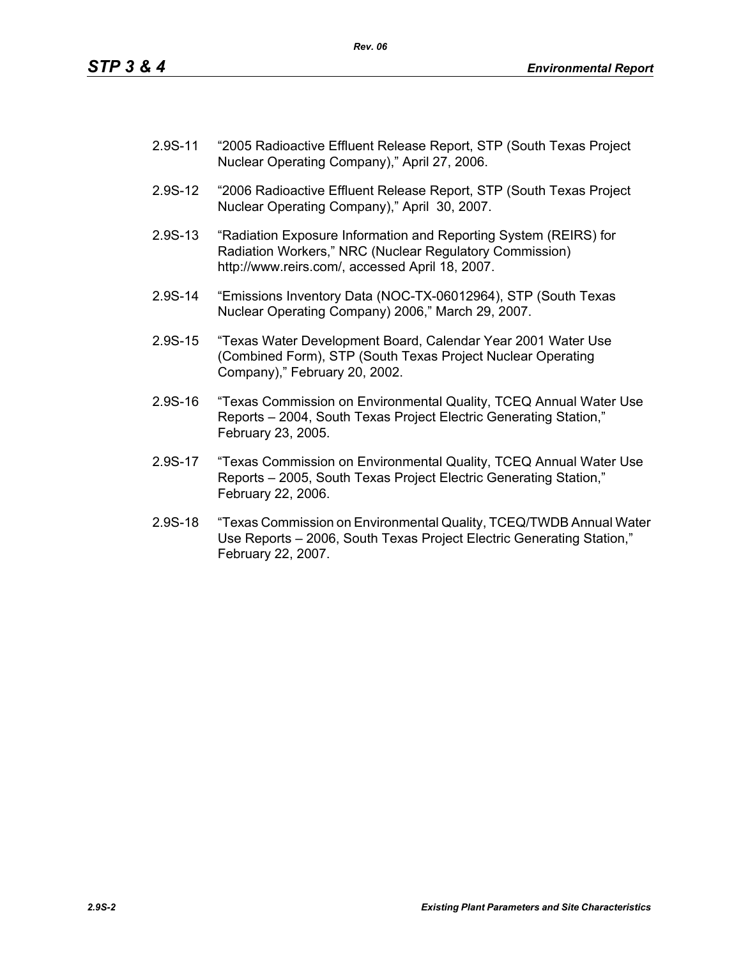- 2.9S-11 "2005 Radioactive Effluent Release Report, STP (South Texas Project Nuclear Operating Company)," April 27, 2006.
- 2.9S-12 "2006 Radioactive Effluent Release Report, STP (South Texas Project Nuclear Operating Company)," April 30, 2007.
- 2.9S-13 "Radiation Exposure Information and Reporting System (REIRS) for Radiation Workers," NRC (Nuclear Regulatory Commission) http://www.reirs.com/, accessed April 18, 2007.
- 2.9S-14 "Emissions Inventory Data (NOC-TX-06012964), STP (South Texas Nuclear Operating Company) 2006," March 29, 2007.
- 2.9S-15 "Texas Water Development Board, Calendar Year 2001 Water Use (Combined Form), STP (South Texas Project Nuclear Operating Company)," February 20, 2002.
- 2.9S-16 "Texas Commission on Environmental Quality, TCEQ Annual Water Use Reports – 2004, South Texas Project Electric Generating Station," February 23, 2005.
- 2.9S-17 "Texas Commission on Environmental Quality, TCEQ Annual Water Use Reports – 2005, South Texas Project Electric Generating Station," February 22, 2006.
- 2.9S-18 "Texas Commission on Environmental Quality, TCEQ/TWDB Annual Water Use Reports – 2006, South Texas Project Electric Generating Station," February 22, 2007.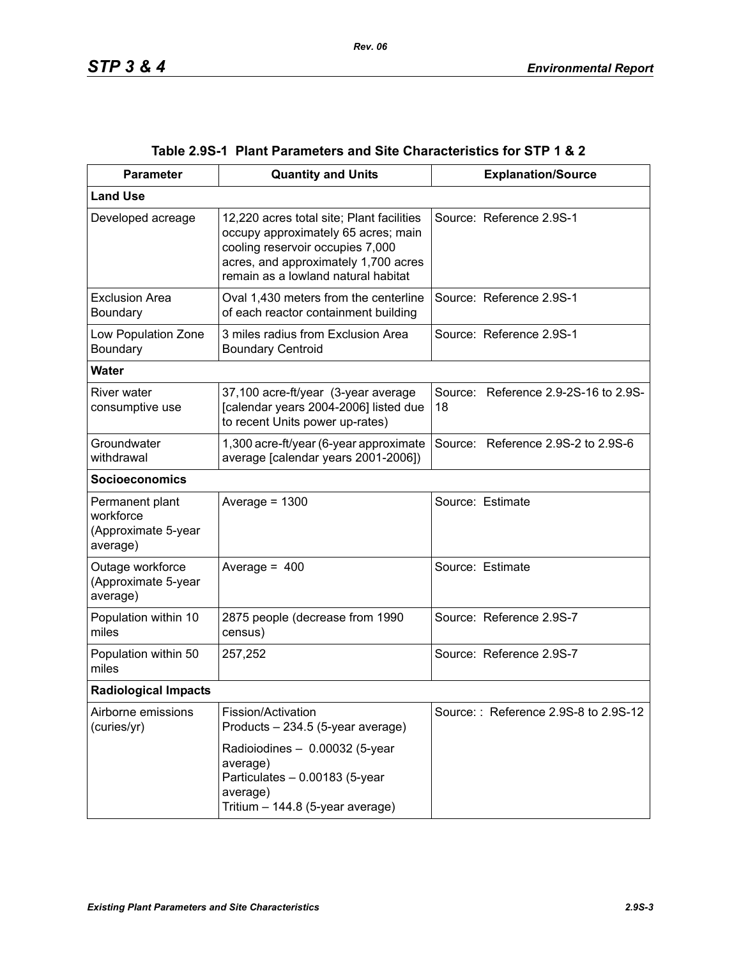| <b>Parameter</b>                                                | <b>Quantity and Units</b>                                                                                                                                                                           | <b>Explanation/Source</b>                  |
|-----------------------------------------------------------------|-----------------------------------------------------------------------------------------------------------------------------------------------------------------------------------------------------|--------------------------------------------|
| <b>Land Use</b>                                                 |                                                                                                                                                                                                     |                                            |
| Developed acreage                                               | 12,220 acres total site; Plant facilities<br>occupy approximately 65 acres; main<br>cooling reservoir occupies 7,000<br>acres, and approximately 1,700 acres<br>remain as a lowland natural habitat | Source: Reference 2.9S-1                   |
| <b>Exclusion Area</b><br>Boundary                               | Oval 1,430 meters from the centerline<br>of each reactor containment building                                                                                                                       | Source: Reference 2.9S-1                   |
| Low Population Zone<br>Boundary                                 | 3 miles radius from Exclusion Area<br><b>Boundary Centroid</b>                                                                                                                                      | Source: Reference 2.9S-1                   |
| <b>Water</b>                                                    |                                                                                                                                                                                                     |                                            |
| River water<br>consumptive use                                  | 37,100 acre-ft/year (3-year average<br>[calendar years 2004-2006] listed due<br>to recent Units power up-rates)                                                                                     | Source: Reference 2.9-2S-16 to 2.9S-<br>18 |
| Groundwater<br>withdrawal                                       | 1,300 acre-ft/year (6-year approximate<br>average [calendar years 2001-2006])                                                                                                                       | Source: Reference 2.9S-2 to 2.9S-6         |
| <b>Socioeconomics</b>                                           |                                                                                                                                                                                                     |                                            |
| Permanent plant<br>workforce<br>(Approximate 5-year<br>average) | Average = $1300$                                                                                                                                                                                    | Source: Estimate                           |
| Outage workforce<br>(Approximate 5-year<br>average)             | Average = $400$                                                                                                                                                                                     | Source: Estimate                           |
| Population within 10<br>miles                                   | 2875 people (decrease from 1990<br>census)                                                                                                                                                          | Source: Reference 2.9S-7                   |
| Population within 50<br>miles                                   | 257,252                                                                                                                                                                                             | Source: Reference 2.9S-7                   |
| <b>Radiological Impacts</b>                                     |                                                                                                                                                                                                     |                                            |
| Airborne emissions<br>(curies/yr)                               | Fission/Activation<br>Products - 234.5 (5-year average)                                                                                                                                             | Source:: Reference 2.9S-8 to 2.9S-12       |
|                                                                 | Radioiodines - 0.00032 (5-year<br>average)<br>Particulates - 0.00183 (5-year<br>average)<br>Tritium - 144.8 (5-year average)                                                                        |                                            |

|  | Table 2.9S-1   Plant Parameters and Site Characteristics for STP 1 & 2 |  |  |
|--|------------------------------------------------------------------------|--|--|
|--|------------------------------------------------------------------------|--|--|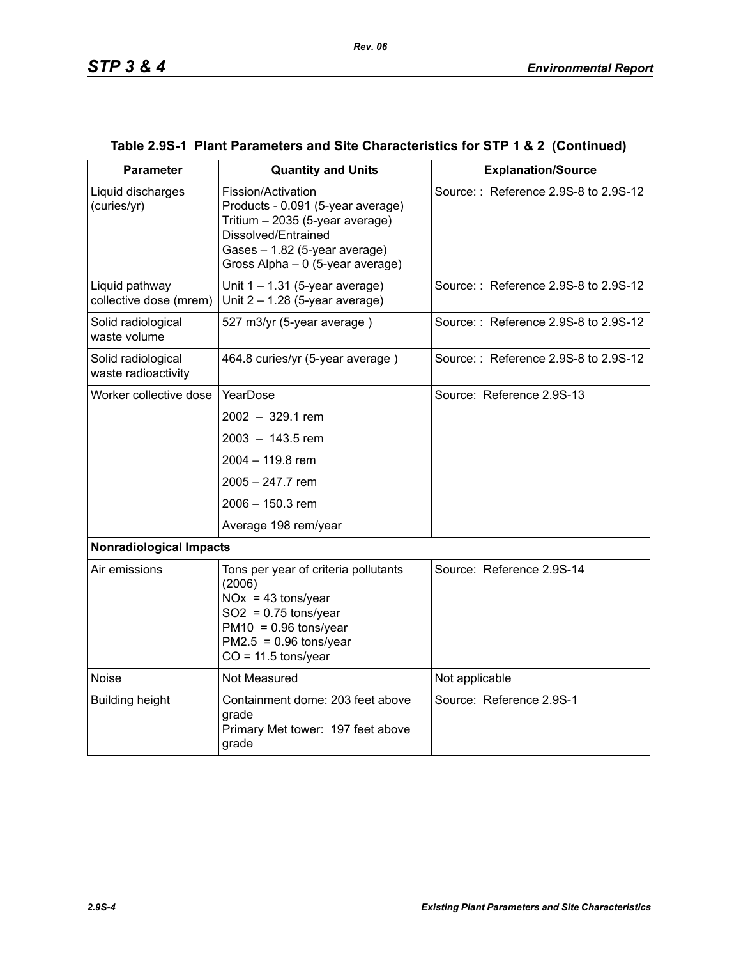| <b>Parameter</b>                          | <b>Quantity and Units</b>                                                                                                                                                              | <b>Explanation/Source</b>            |  |  |
|-------------------------------------------|----------------------------------------------------------------------------------------------------------------------------------------------------------------------------------------|--------------------------------------|--|--|
| Liquid discharges<br>(curies/yr)          | Fission/Activation<br>Products - 0.091 (5-year average)<br>Tritium - 2035 (5-year average)<br>Dissolved/Entrained<br>Gases - 1.82 (5-year average)<br>Gross Alpha - 0 (5-year average) | Source:: Reference 2.9S-8 to 2.9S-12 |  |  |
| Liquid pathway<br>collective dose (mrem)  | Unit $1 - 1.31$ (5-year average)<br>Unit $2 - 1.28$ (5-year average)                                                                                                                   | Source:: Reference 2.9S-8 to 2.9S-12 |  |  |
| Solid radiological<br>waste volume        | 527 m3/yr (5-year average)                                                                                                                                                             | Source:: Reference 2.9S-8 to 2.9S-12 |  |  |
| Solid radiological<br>waste radioactivity | 464.8 curies/yr (5-year average)                                                                                                                                                       | Source:: Reference 2.9S-8 to 2.9S-12 |  |  |
| Worker collective dose                    | YearDose                                                                                                                                                                               | Source: Reference 2.9S-13            |  |  |
|                                           | $2002 - 329.1$ rem                                                                                                                                                                     |                                      |  |  |
|                                           | $2003 - 143.5$ rem                                                                                                                                                                     |                                      |  |  |
|                                           | 2004 - 119.8 rem                                                                                                                                                                       |                                      |  |  |
|                                           | $2005 - 247.7$ rem                                                                                                                                                                     |                                      |  |  |
|                                           | 2006 - 150.3 rem                                                                                                                                                                       |                                      |  |  |
|                                           | Average 198 rem/year                                                                                                                                                                   |                                      |  |  |
| <b>Nonradiological Impacts</b>            |                                                                                                                                                                                        |                                      |  |  |
| Air emissions                             | Tons per year of criteria pollutants<br>(2006)<br>$NOx = 43$ tons/year<br>$SO2 = 0.75$ tons/year<br>$PM10 = 0.96$ tons/year<br>$PM2.5 = 0.96$ tons/year<br>$CO = 11.5$ tons/year       | Source: Reference 2.9S-14            |  |  |
| <b>Noise</b>                              | Not Measured                                                                                                                                                                           | Not applicable                       |  |  |
| <b>Building height</b>                    | Containment dome: 203 feet above<br>grade<br>Primary Met tower: 197 feet above<br>grade                                                                                                | Source: Reference 2.9S-1             |  |  |

## **Table 2.9S-1 Plant Parameters and Site Characteristics for STP 1 & 2 (Continued)**